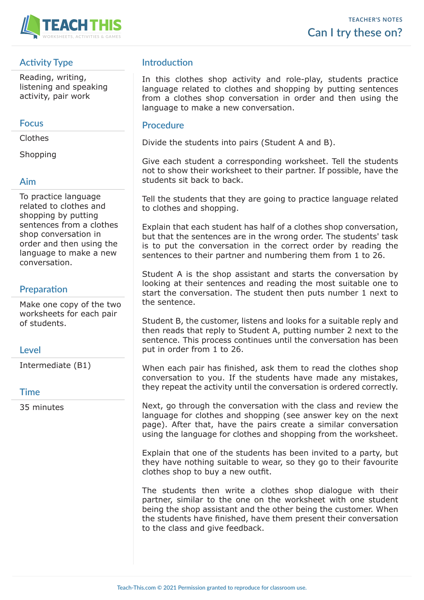

# **Activity Type**

Reading, writing, listening and speaking activity, pair work

### **Focus**

Clothes

**Shopping** 

### **Aim**

To practice language related to clothes and shopping by putting sentences from a clothes shop conversation in order and then using the language to make a new conversation.

## **Preparation**

Make one copy of the two worksheets for each pair of students.

### **Level**

Intermediate (B1)

#### **Time**

35 minutes

## **Introduction**

In this clothes shop activity and role-play, students practice language related to clothes and shopping by putting sentences from a clothes shop conversation in order and then using the language to make a new conversation.

### **Procedure**

Divide the students into pairs (Student A and B).

Give each student a corresponding worksheet. Tell the students not to show their worksheet to their partner. If possible, have the students sit back to back.

Tell the students that they are going to practice language related to clothes and shopping.

Explain that each student has half of a clothes shop conversation, but that the sentences are in the wrong order. The students' task is to put the conversation in the correct order by reading the sentences to their partner and numbering them from 1 to 26.

Student A is the shop assistant and starts the conversation by looking at their sentences and reading the most suitable one to start the conversation. The student then puts number 1 next to the sentence.

Student B, the customer, listens and looks for a suitable reply and then reads that reply to Student A, putting number 2 next to the sentence. This process continues until the conversation has been put in order from 1 to 26.

When each pair has finished, ask them to read the clothes shop conversation to you. If the students have made any mistakes, they repeat the activity until the conversation is ordered correctly.

Next, go through the conversation with the class and review the language for clothes and shopping (see answer key on the next page). After that, have the pairs create a similar conversation using the language for clothes and shopping from the worksheet.

Explain that one of the students has been invited to a party, but they have nothing suitable to wear, so they go to their favourite clothes shop to buy a new outfit.

The students then write a clothes shop dialogue with their partner, similar to the one on the worksheet with one student being the shop assistant and the other being the customer. When the students have finished, have them present their conversation to the class and give feedback.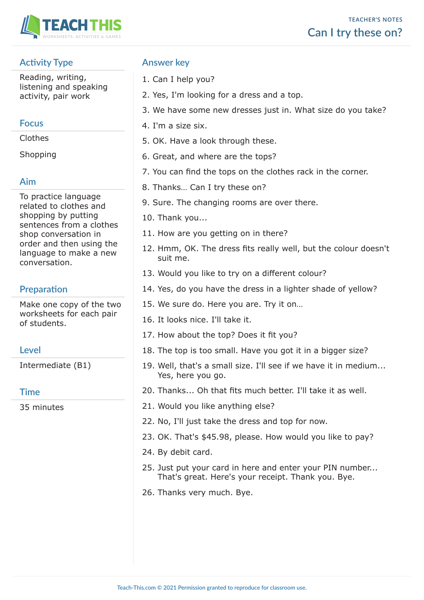

# **Activity Type**

Reading, writing, listening and speaking activity, pair work

## **Focus**

Clothes

**Shopping** 

# **Aim**

To practice language related to clothes and shopping by putting sentences from a clothes shop conversation in order and then using the language to make a new conversation.

# **Preparation**

Make one copy of the two worksheets for each pair of students.

# **Level**

Intermediate (B1)

### **Time**

35 minutes

# **Answer key**

- 1. Can I help you?
- 2. Yes, I'm looking for a dress and a top.
- 3. We have some new dresses just in. What size do you take?
- 4. I'm a size six.
- 5. OK. Have a look through these.
- 6. Great, and where are the tops?
- 7. You can find the tops on the clothes rack in the corner.
- 8. Thanks… Can I try these on?
- 9. Sure. The changing rooms are over there.
- 10. Thank you...
- 11. How are you getting on in there?
- 12. Hmm, OK. The dress fits really well, but the colour doesn't suit me.
- 13. Would you like to try on a different colour?
- 14. Yes, do you have the dress in a lighter shade of yellow?
- 15. We sure do. Here you are. Try it on…
- 16. It looks nice. I'll take it.
- 17. How about the top? Does it fit you?
- 18. The top is too small. Have you got it in a bigger size?
- 19. Well, that's a small size. I'll see if we have it in medium... Yes, here you go.
- 20. Thanks... Oh that fits much better. I'll take it as well.
- 21. Would you like anything else?
- 22. No, I'll just take the dress and top for now.
- 23. OK. That's \$45.98, please. How would you like to pay?
- 24. By debit card.
- 25. Just put your card in here and enter your PIN number... That's great. Here's your receipt. Thank you. Bye.
- 26. Thanks very much. Bye.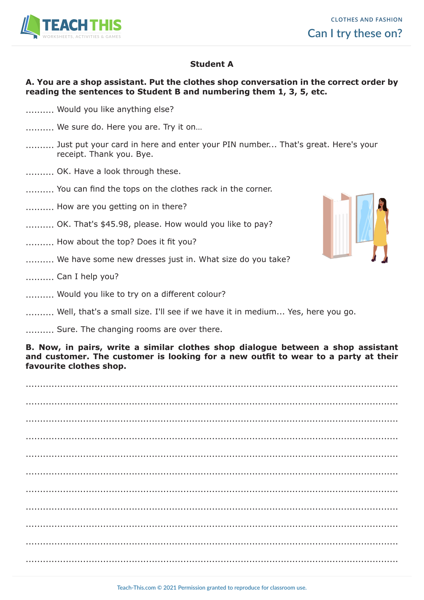

### **Student A**

### **A. You are a shop assistant. Put the clothes shop conversation in the correct order by reading the sentences to Student B and numbering them 1, 3, 5, etc.**

- .......... Would you like anything else?
- .......... We sure do. Here you are. Try it on...
- .......... Just put your card in here and enter your PIN number... That's great. Here's your receipt. Thank you. Bye.
- .......... OK. Have a look through these.
- .......... You can find the tops on the clothes rack in the corner.
- .......... How are you getting on in there?
- .......... OK. That's \$45.98, please. How would you like to pay?
- .......... How about the top? Does it fit you?
- .......... We have some new dresses just in. What size do you take?
- .......... Can I help you?
- .......... Would you like to try on a different colour?



.......... Sure. The changing rooms are over there.

**B. Now, in pairs, write a similar clothes shop dialogue between a shop assistant and customer. The customer is looking for a new outfit to wear to a party at their favourite clothes shop.**

.................................................................................................................................. .................................................................................................................................. .................................................................................................................................. .................................................................................................................................. .................................................................................................................................. .................................................................................................................................. .................................................................................................................................. .................................................................................................................................. .................................................................................................................................. ..................................................................................................................................